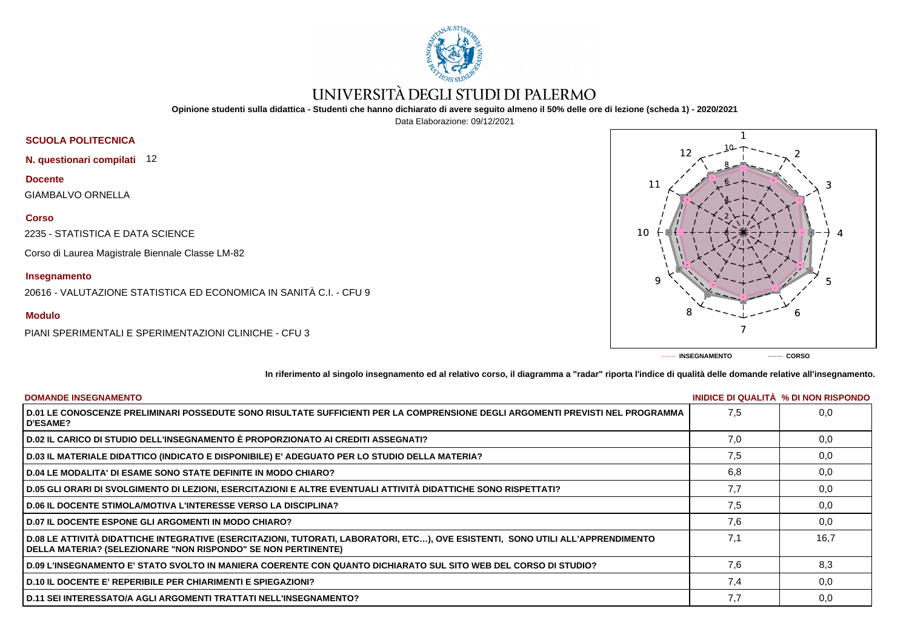

# UNIVERSITÀ DEGLI STUDI DI PALERMO

**Opinione studenti sulla didattica - Studenti che hanno dichiarato di avere seguito almeno il 50% delle ore di lezione (scheda 1) - 2020/2021**

Data Elaborazione: 09/12/2021

## **SCUOLA POLITECNICA**

**N. questionari compilati** 12

**Docente**

GIAMBALVO ORNELLA

#### **Corso**

2235 - STATISTICA E DATA SCIENCE

Corso di Laurea Magistrale Biennale Classe LM-82

### **Insegnamento**

20616 - VALUTAZIONE STATISTICA ED ECONOMICA IN SANITÀ C.I. - CFU 9

### **Modulo**

PIANI SPERIMENTALI E SPERIMENTAZIONI CLINICHE - CFU 3



**In riferimento al singolo insegnamento ed al relativo corso, il diagramma a "radar" riporta l'indice di qualità delle domande relative all'insegnamento.**

| <b>DOMANDE INSEGNAMENTO</b>                                                                                                                                                                             |     | INIDICE DI QUALITA % DI NON RISPONDO |
|---------------------------------------------------------------------------------------------------------------------------------------------------------------------------------------------------------|-----|--------------------------------------|
| D.01 LE CONOSCENZE PRELIMINARI POSSEDUTE SONO RISULTATE SUFFICIENTI PER LA COMPRENSIONE DEGLI ARGOMENTI PREVISTI NEL PROGRAMMA<br><b>D'ESAME?</b>                                                       | 7.5 | 0.0                                  |
| D.02 IL CARICO DI STUDIO DELL'INSEGNAMENTO È PROPORZIONATO AI CREDITI ASSEGNATI?                                                                                                                        | 7.0 | 0,0                                  |
| D.03 IL MATERIALE DIDATTICO (INDICATO E DISPONIBILE) E' ADEGUATO PER LO STUDIO DELLA MATERIA?                                                                                                           | 7.5 | 0,0                                  |
| <b>D.04 LE MODALITA' DI ESAME SONO STATE DEFINITE IN MODO CHIARO?</b>                                                                                                                                   | 6,8 | 0,0                                  |
| D.05 GLI ORARI DI SVOLGIMENTO DI LEZIONI, ESERCITAZIONI E ALTRE EVENTUALI ATTIVITÀ DIDATTICHE SONO RISPETTATI?                                                                                          | 7.7 | 0,0                                  |
| <b>D.06 IL DOCENTE STIMOLA/MOTIVA L'INTERESSE VERSO LA DISCIPLINA?</b>                                                                                                                                  | 7.5 | 0,0                                  |
| <b>D.07 IL DOCENTE ESPONE GLI ARGOMENTI IN MODO CHIARO?</b>                                                                                                                                             | 7.6 | 0,0                                  |
| D.08 LE ATTIVITÀ DIDATTICHE INTEGRATIVE (ESERCITAZIONI, TUTORATI, LABORATORI, ETC), OVE ESISTENTI, SONO UTILI ALL'APPRENDIMENTO<br><b>DELLA MATERIA? (SELEZIONARE "NON RISPONDO" SE NON PERTINENTE)</b> | 7.1 | 16.7                                 |
| D.09 L'INSEGNAMENTO E' STATO SVOLTO IN MANIERA COERENTE CON QUANTO DICHIARATO SUL SITO WEB DEL CORSO DI STUDIO?                                                                                         | 7.6 | 8,3                                  |
| <b>D.10 IL DOCENTE E' REPERIBILE PER CHIARIMENTI E SPIEGAZIONI?</b>                                                                                                                                     | 7,4 | 0,0                                  |
| D.11 SEI INTERESSATO/A AGLI ARGOMENTI TRATTATI NELL'INSEGNAMENTO?                                                                                                                                       | 7,7 | 0,0                                  |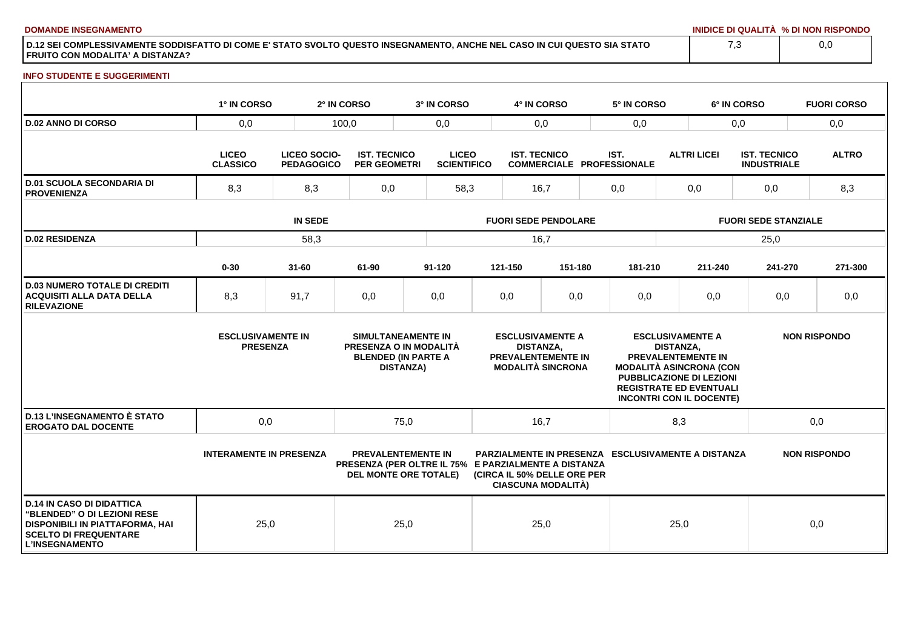**DOMANDE INSEGNAMENTO INIDICE DI QUALITÀ % DI NON RISPONDO**

**D.12 SEI COMPLESSIVAMENTE SODDISFATTO DI COME E' STATO SVOLTO QUESTO INSEGNAMENTO, ANCHE NEL CASO IN CUI QUESTO SIA STATO FRUITO CON MODALITA' A DISTANZA?**

#### **INFO STUDENTE E SUGGERIMENTI**

|                                                                                                                                                                    | 1° IN CORSO                                 |                                   | 2° IN CORSO                                | 3° IN CORSO                                                                                                |                                                                                                      | 4° IN CORSO         |                                                          | 5° IN CORSO                                                                                                                                                                                                        |      |                             | 6° IN CORSO                               | <b>FUORI CORSO</b>  |  |
|--------------------------------------------------------------------------------------------------------------------------------------------------------------------|---------------------------------------------|-----------------------------------|--------------------------------------------|------------------------------------------------------------------------------------------------------------|------------------------------------------------------------------------------------------------------|---------------------|----------------------------------------------------------|--------------------------------------------------------------------------------------------------------------------------------------------------------------------------------------------------------------------|------|-----------------------------|-------------------------------------------|---------------------|--|
| <b>D.02 ANNO DI CORSO</b>                                                                                                                                          | 0,0                                         |                                   | 100,0                                      | 0,0                                                                                                        | 0,0                                                                                                  |                     | 0,0                                                      |                                                                                                                                                                                                                    |      | 0,0                         | 0,0                                       |                     |  |
|                                                                                                                                                                    | <b>LICEO</b><br><b>CLASSICO</b>             | LICEO SOCIO-<br><b>PEDAGOGICO</b> | <b>IST. TECNICO</b><br><b>PER GEOMETRI</b> | <b>LICEO</b><br><b>SCIENTIFICO</b>                                                                         |                                                                                                      | <b>IST. TECNICO</b> |                                                          | IST.<br><b>COMMERCIALE PROFESSIONALE</b>                                                                                                                                                                           |      | <b>ALTRI LICEI</b>          | <b>IST. TECNICO</b><br><b>INDUSTRIALE</b> | <b>ALTRO</b>        |  |
| <b>D.01 SCUOLA SECONDARIA DI</b><br><b>PROVENIENZA</b>                                                                                                             | 8,3                                         | 8,3                               | 0,0                                        | 58,3                                                                                                       |                                                                                                      | 16,7                |                                                          | 0,0                                                                                                                                                                                                                |      | 0,0                         | 0,0                                       | 8,3                 |  |
|                                                                                                                                                                    | <b>IN SEDE</b>                              |                                   |                                            |                                                                                                            | <b>FUORI SEDE PENDOLARE</b>                                                                          |                     |                                                          |                                                                                                                                                                                                                    |      | <b>FUORI SEDE STANZIALE</b> |                                           |                     |  |
| <b>D.02 RESIDENZA</b>                                                                                                                                              | 58,3                                        |                                   |                                            |                                                                                                            | 16,7                                                                                                 |                     |                                                          |                                                                                                                                                                                                                    |      |                             | 25,0                                      |                     |  |
|                                                                                                                                                                    | $0 - 30$                                    | $31 - 60$                         | 61-90                                      | 91-120                                                                                                     |                                                                                                      | 121-150             | 151-180                                                  | 181-210                                                                                                                                                                                                            |      | 211-240                     | 241-270                                   | 271-300             |  |
| <b>D.03 NUMERO TOTALE DI CREDITI</b><br><b>ACQUISITI ALLA DATA DELLA</b><br><b>RILEVAZIONE</b>                                                                     | 8,3                                         | 91,7                              | 0,0                                        | 0,0                                                                                                        |                                                                                                      | 0,0                 | 0,0                                                      | 0,0                                                                                                                                                                                                                |      | 0,0                         | 0,0                                       | 0,0                 |  |
|                                                                                                                                                                    | <b>ESCLUSIVAMENTE IN</b><br><b>PRESENZA</b> |                                   |                                            | SIMULTANEAMENTE IN<br>PRESENZA O IN MODALITÀ<br><b>BLENDED (IN PARTE A</b><br><b>DISTANZA)</b>             | <b>ESCLUSIVAMENTE A</b><br><b>DISTANZA.</b><br><b>PREVALENTEMENTE IN</b><br><b>MODALITÀ SINCRONA</b> |                     |                                                          | <b>ESCLUSIVAMENTE A</b><br><b>DISTANZA.</b><br><b>PREVALENTEMENTE IN</b><br><b>MODALITÀ ASINCRONA (CON</b><br><b>PUBBLICAZIONE DI LEZIONI</b><br><b>REGISTRATE ED EVENTUALI</b><br><b>INCONTRI CON IL DOCENTE)</b> |      |                             | <b>NON RISPONDO</b>                       |                     |  |
| <b>D.13 L'INSEGNAMENTO È STATO</b><br><b>EROGATO DAL DOCENTE</b>                                                                                                   | 0,0                                         |                                   |                                            | 75,0                                                                                                       | 16,7                                                                                                 |                     |                                                          | 8,3                                                                                                                                                                                                                |      |                             | 0,0                                       |                     |  |
|                                                                                                                                                                    | <b>INTERAMENTE IN PRESENZA</b>              |                                   |                                            | <b>PREVALENTEMENTE IN</b><br>PRESENZA (PER OLTRE IL 75% E PARZIALMENTE A DISTANZA<br>DEL MONTE ORE TOTALE) |                                                                                                      |                     | (CIRCA IL 50% DELLE ORE PER<br><b>CIASCUNA MODALITÀ)</b> | <b>PARZIALMENTE IN PRESENZA ESCLUSIVAMENTE A DISTANZA</b>                                                                                                                                                          |      |                             |                                           | <b>NON RISPONDO</b> |  |
| <b>D.14 IN CASO DI DIDATTICA</b><br>"BLENDED" O DI LEZIONI RESE<br><b>DISPONIBILI IN PIATTAFORMA, HAI</b><br><b>SCELTO DI FREQUENTARE</b><br><b>L'INSEGNAMENTO</b> | 25,0                                        |                                   |                                            | 25,0                                                                                                       |                                                                                                      | 25,0                |                                                          |                                                                                                                                                                                                                    | 25,0 |                             |                                           | 0,0                 |  |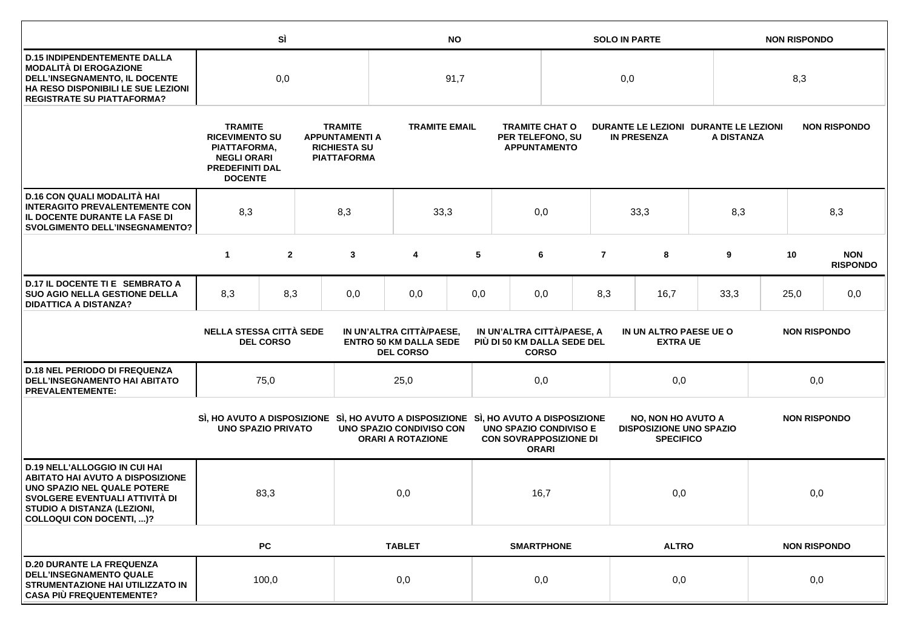|                                                                                                                                                                                                             |                                                                                                                           | SÌ             |  | <b>NO</b>                                                                                                                                                  |                                                      |                                           | <b>SOLO IN PARTE</b>                                             |              |                |                                                                                 | <b>NON RISPONDO</b>                                 |                     |                     |                               |
|-------------------------------------------------------------------------------------------------------------------------------------------------------------------------------------------------------------|---------------------------------------------------------------------------------------------------------------------------|----------------|--|------------------------------------------------------------------------------------------------------------------------------------------------------------|------------------------------------------------------|-------------------------------------------|------------------------------------------------------------------|--------------|----------------|---------------------------------------------------------------------------------|-----------------------------------------------------|---------------------|---------------------|-------------------------------|
| <b>D.15 INDIPENDENTEMENTE DALLA</b><br><b>MODALITÀ DI EROGAZIONE</b><br>DELL'INSEGNAMENTO, IL DOCENTE<br>HA RESO DISPONIBILI LE SUE LEZIONI<br><b>REGISTRATE SU PIATTAFORMA?</b>                            | 0,0                                                                                                                       |                |  | 91,7                                                                                                                                                       |                                                      |                                           | 0,0                                                              |              |                |                                                                                 | 8,3                                                 |                     |                     |                               |
|                                                                                                                                                                                                             | <b>TRAMITE</b><br><b>RICEVIMENTO SU</b><br>PIATTAFORMA,<br><b>NEGLI ORARI</b><br><b>PREDEFINITI DAL</b><br><b>DOCENTE</b> |                |  | <b>TRAMITE</b><br><b>TRAMITE EMAIL</b><br><b>APPUNTAMENTI A</b><br><b>RICHIESTA SU</b><br><b>PIATTAFORMA</b>                                               |                                                      |                                           | <b>TRAMITE CHAT O</b><br>PER TELEFONO, SU<br><b>APPUNTAMENTO</b> |              |                | <b>IN PRESENZA</b>                                                              | DURANTE LE LEZIONI DURANTE LE LEZIONI<br>A DISTANZA |                     |                     | <b>NON RISPONDO</b>           |
| D.16 CON QUALI MODALITÀ HAI<br><b>INTERAGITO PREVALENTEMENTE CON</b><br>IL DOCENTE DURANTE LA FASE DI<br><b>SVOLGIMENTO DELL'INSEGNAMENTO?</b>                                                              | 8,3                                                                                                                       |                |  | 8,3                                                                                                                                                        | 33,3                                                 |                                           |                                                                  | 0,0          |                | 33,3                                                                            | 8,3                                                 |                     |                     | 8,3                           |
|                                                                                                                                                                                                             | $\mathbf{1}$                                                                                                              | $\overline{2}$ |  | 3                                                                                                                                                          | 4                                                    | 5                                         |                                                                  | 6            | $\overline{7}$ | 8                                                                               | 9                                                   |                     | 10                  | <b>NON</b><br><b>RISPONDO</b> |
| D.17 IL DOCENTE TI E SEMBRATO A<br><b>SUO AGIO NELLA GESTIONE DELLA</b><br><b>DIDATTICA A DISTANZA?</b>                                                                                                     | 8,3                                                                                                                       | 8,3            |  | 0,0                                                                                                                                                        | 0,0                                                  | 0,0                                       |                                                                  | 0,0          | 8,3            | 16,7                                                                            | 33,3                                                |                     | 25,0                | 0,0                           |
|                                                                                                                                                                                                             | <b>NELLA STESSA CITTÀ SEDE</b><br><b>DEL CORSO</b>                                                                        |                |  | IN UN'ALTRA CITTÀ/PAESE,<br>IN UN'ALTRA CITTÀ/PAESE, A<br><b>ENTRO 50 KM DALLA SEDE</b><br>PIÙ DI 50 KM DALLA SEDE DEL<br><b>DEL CORSO</b><br><b>CORSO</b> |                                                      | IN UN ALTRO PAESE UE O<br><b>EXTRA UE</b> |                                                                  |              |                | <b>NON RISPONDO</b>                                                             |                                                     |                     |                     |                               |
| <b>D.18 NEL PERIODO DI FREQUENZA</b><br><b>DELL'INSEGNAMENTO HAI ABITATO</b><br><b>PREVALENTEMENTE:</b>                                                                                                     |                                                                                                                           | 75,0           |  |                                                                                                                                                            | 25,0                                                 |                                           |                                                                  | 0,0          |                | 0,0                                                                             |                                                     |                     | 0,0                 |                               |
|                                                                                                                                                                                                             | <b>UNO SPAZIO PRIVATO</b>                                                                                                 |                |  | SI, HO AVUTO A DISPOSIZIONE SI, HO AVUTO A DISPOSIZIONE SI, HO AVUTO A DISPOSIZIONE                                                                        | UNO SPAZIO CONDIVISO CON<br><b>ORARI A ROTAZIONE</b> |                                           | <b>UNO SPAZIO CONDIVISO E</b><br><b>CON SOVRAPPOSIZIONE DI</b>   | <b>ORARI</b> |                | <b>NO, NON HO AVUTO A</b><br><b>DISPOSIZIONE UNO SPAZIO</b><br><b>SPECIFICO</b> |                                                     |                     | <b>NON RISPONDO</b> |                               |
| <b>D.19 NELL'ALLOGGIO IN CUI HAI</b><br><b>ABITATO HAI AVUTO A DISPOSIZIONE</b><br>UNO SPAZIO NEL QUALE POTERE<br>SVOLGERE EVENTUALI ATTIVITÀ DI<br>STUDIO A DISTANZA (LEZIONI,<br>COLLOQUI CON DOCENTI, )? |                                                                                                                           | 83,3           |  |                                                                                                                                                            | 0,0                                                  |                                           |                                                                  | 16,7         |                | 0,0                                                                             |                                                     |                     |                     | 0,0                           |
|                                                                                                                                                                                                             |                                                                                                                           | <b>PC</b>      |  |                                                                                                                                                            | <b>TABLET</b>                                        |                                           | <b>SMARTPHONE</b>                                                |              |                | <b>ALTRO</b>                                                                    |                                                     | <b>NON RISPONDO</b> |                     |                               |
| <b>D.20 DURANTE LA FREQUENZA</b><br><b>DELL'INSEGNAMENTO QUALE</b><br>STRUMENTAZIONE HAI UTILIZZATO IN<br><b>CASA PIÙ FREQUENTEMENTE?</b>                                                                   |                                                                                                                           | 100,0          |  |                                                                                                                                                            | 0,0                                                  |                                           |                                                                  | 0,0          |                | 0,0                                                                             |                                                     | 0,0                 |                     |                               |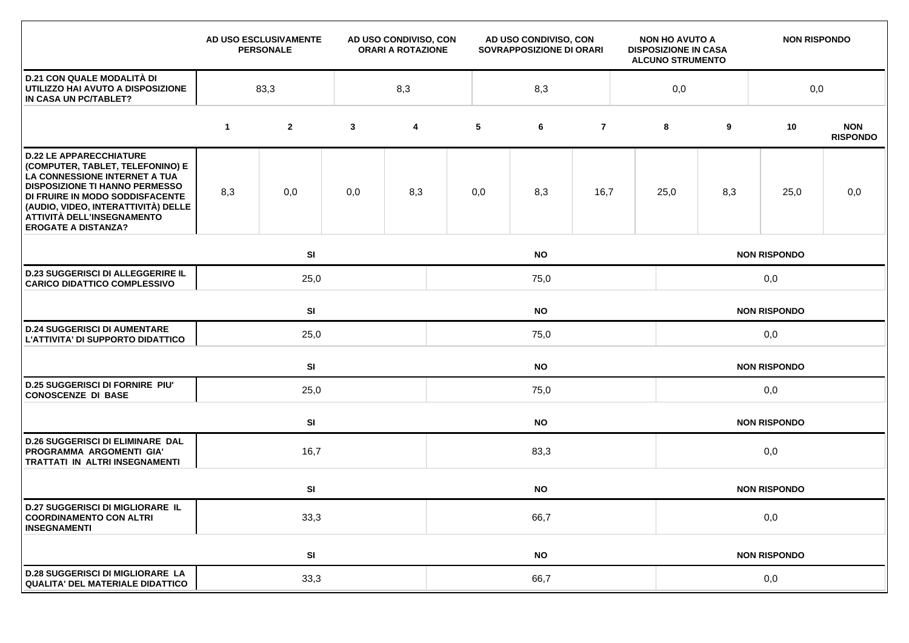|                                                                                                                                                                                                                                                                                    |             | AD USO ESCLUSIVAMENTE<br><b>PERSONALE</b> |              | AD USO CONDIVISO, CON<br><b>ORARI A ROTAZIONE</b> |      | AD USO CONDIVISO, CON<br>SOVRAPPOSIZIONE DI ORARI |                     |     | <b>NON HO AVUTO A</b><br><b>DISPOSIZIONE IN CASA</b><br><b>ALCUNO STRUMENTO</b> |                     | <b>NON RISPONDO</b> |                               |  |  |
|------------------------------------------------------------------------------------------------------------------------------------------------------------------------------------------------------------------------------------------------------------------------------------|-------------|-------------------------------------------|--------------|---------------------------------------------------|------|---------------------------------------------------|---------------------|-----|---------------------------------------------------------------------------------|---------------------|---------------------|-------------------------------|--|--|
| <b>D.21 CON QUALE MODALITÀ DI</b><br>UTILIZZO HAI AVUTO A DISPOSIZIONE<br>IN CASA UN PC/TABLET?                                                                                                                                                                                    |             | 83,3                                      |              | 8,3                                               |      | 8,3                                               |                     |     | 0,0                                                                             |                     | 0,0                 |                               |  |  |
|                                                                                                                                                                                                                                                                                    | $\mathbf 1$ | $\mathbf{2}$                              | $\mathbf{3}$ | 4                                                 | 5    | 6                                                 | $\overline{7}$      |     | 8                                                                               | 9                   | 10                  | <b>NON</b><br><b>RISPONDO</b> |  |  |
| <b>D.22 LE APPARECCHIATURE</b><br>(COMPUTER, TABLET, TELEFONINO) E<br>LA CONNESSIONE INTERNET A TUA<br><b>DISPOSIZIONE TI HANNO PERMESSO</b><br>DI FRUIRE IN MODO SODDISFACENTE<br>(AUDIO, VIDEO, INTERATTIVITÀ) DELLE<br>ATTIVITÀ DELL'INSEGNAMENTO<br><b>EROGATE A DISTANZA?</b> | 8,3         | 0,0                                       | 0,0          | 8,3                                               | 0,0  | 8,3                                               | 16,7                |     | 25,0                                                                            | 8,3                 | 25,0                | 0,0                           |  |  |
|                                                                                                                                                                                                                                                                                    |             | SI                                        |              |                                                   |      | <b>NO</b>                                         |                     |     | <b>NON RISPONDO</b>                                                             |                     |                     |                               |  |  |
| <b>D.23 SUGGERISCI DI ALLEGGERIRE IL</b><br><b>CARICO DIDATTICO COMPLESSIVO</b>                                                                                                                                                                                                    |             | 25,0                                      |              |                                                   | 75,0 |                                                   |                     | 0,0 |                                                                                 |                     |                     |                               |  |  |
|                                                                                                                                                                                                                                                                                    |             | SI<br><b>NO</b>                           |              |                                                   |      |                                                   |                     |     | <b>NON RISPONDO</b>                                                             |                     |                     |                               |  |  |
| <b>D.24 SUGGERISCI DI AUMENTARE</b><br>L'ATTIVITA' DI SUPPORTO DIDATTICO                                                                                                                                                                                                           |             | 25,0                                      |              |                                                   | 75,0 |                                                   |                     |     |                                                                                 | 0,0                 |                     |                               |  |  |
|                                                                                                                                                                                                                                                                                    |             | <b>SI</b>                                 |              | <b>NO</b>                                         |      |                                                   |                     |     |                                                                                 | <b>NON RISPONDO</b> |                     |                               |  |  |
| <b>D.25 SUGGERISCI DI FORNIRE PIU'</b><br><b>CONOSCENZE DI BASE</b>                                                                                                                                                                                                                |             | 25,0                                      |              |                                                   | 75,0 |                                                   |                     |     |                                                                                 | 0,0                 |                     |                               |  |  |
|                                                                                                                                                                                                                                                                                    |             | SI                                        |              | <b>NO</b>                                         |      |                                                   |                     |     |                                                                                 | <b>NON RISPONDO</b> |                     |                               |  |  |
| <b>D.26 SUGGERISCI DI ELIMINARE DAL</b><br>PROGRAMMA ARGOMENTI GIA'<br>TRATTATI IN ALTRI INSEGNAMENTI                                                                                                                                                                              |             | 16,7                                      |              |                                                   | 83,3 |                                                   |                     |     |                                                                                 | 0,0                 |                     |                               |  |  |
|                                                                                                                                                                                                                                                                                    |             | SI                                        |              | <b>NO</b>                                         |      |                                                   |                     |     |                                                                                 | <b>NON RISPONDO</b> |                     |                               |  |  |
| <b>D.27 SUGGERISCI DI MIGLIORARE IL</b><br><b>COORDINAMENTO CON ALTRI</b><br><b>INSEGNAMENTI</b>                                                                                                                                                                                   | 33,3        |                                           |              |                                                   | 66,7 |                                                   |                     |     |                                                                                 | 0,0                 |                     |                               |  |  |
|                                                                                                                                                                                                                                                                                    |             | SI                                        | <b>NO</b>    |                                                   |      |                                                   | <b>NON RISPONDO</b> |     |                                                                                 |                     |                     |                               |  |  |
| <b>D.28 SUGGERISCI DI MIGLIORARE LA</b><br><b>QUALITA' DEL MATERIALE DIDATTICO</b>                                                                                                                                                                                                 |             | 33,3                                      |              |                                                   | 66,7 |                                                   |                     |     |                                                                                 | 0,0                 |                     |                               |  |  |